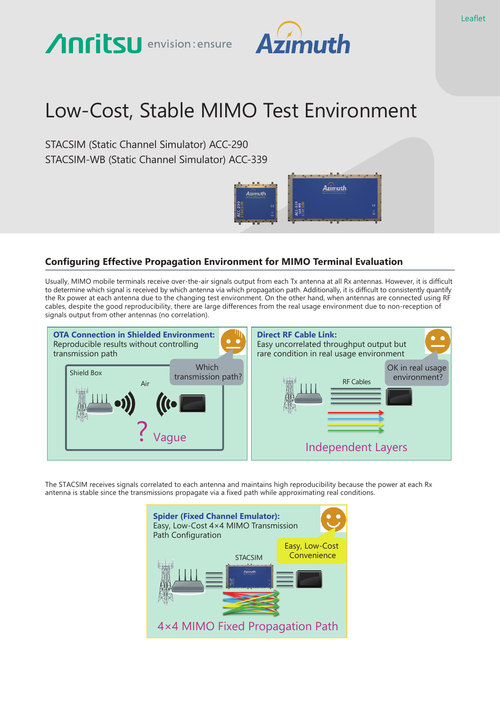# Anritsu envision: ensure



# Low-Cost, Stable MIMO Test Environment

STACSIM (Static Channel Simulator) ACC-290 STACSIM-WB (Static Channel Simulator) ACC-339



## **Configuring Effective Propagation Environment for MIMO Terminal Evaluation**

Usually, MIMO mobile terminals receive over-the-air signals output from each Tx antenna at all Rx antennas. However, it is difficult to determine which signal is received by which antenna via which propagation path. Additionally, it is difficult to consistently quantify the Rx power at each antenna due to the changing test environment. On the other hand, when antennas are connected using RF cables, despite the good reproducibility, there are large differences from the real usage environment due to non-reception of signals output from other antennas (no correlation).



The STACSIM receives signals correlated to each antenna and maintains high reproducibility because the power at each Rx antenna is stable since the transmissions propagate via a fixed path while approximating real conditions.